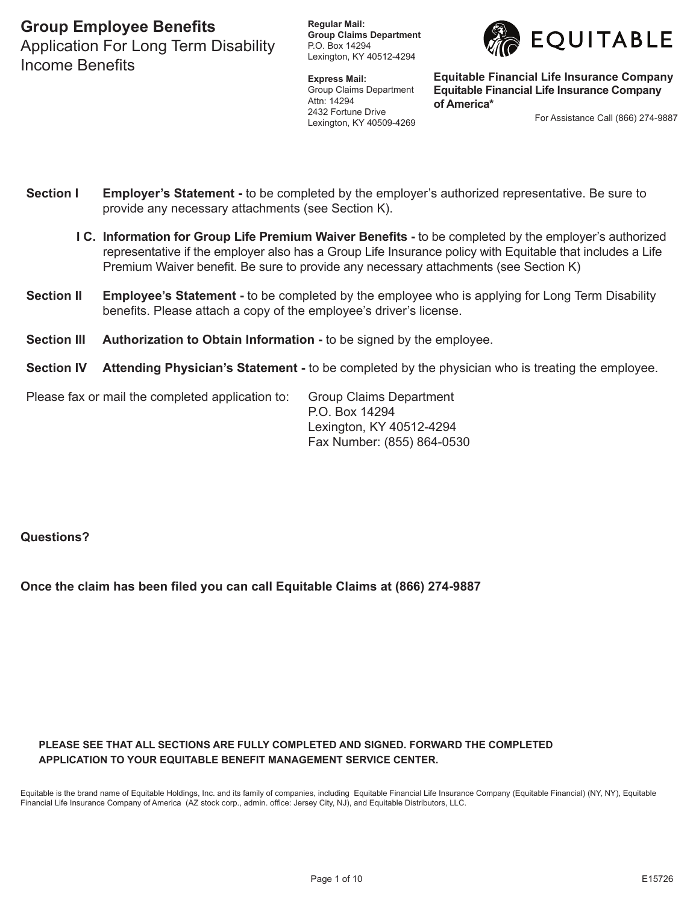Application For Long Term Disability Income Benefits

**Regular Mail: Group Claims Department** P.O. Box 14294 Lexington, KY 40512-4294

**Express Mail:** Group Claims Department Attn: 14294 2432 Fortune Drive Lexington, KY 40509-4269



**Equitable Financial Life Insurance Company Equitable Financial Life Insurance Company of America\***

For Assistance Call (866) 274-9887

- **Section I Employer's Statement** to be completed by the employer's authorized representative. Be sure to provide any necessary attachments (see Section K).
	- **I C. Information for Group Life Premium Waiver Benefits -** to be completed by the employer's authorized representative if the employer also has a Group Life Insurance policy with Equitable that includes a Life Premium Waiver benefit. Be sure to provide any necessary attachments (see Section K)
- **Section II Employee's Statement -** to be completed by the employee who is applying for Long Term Disability benefits. Please attach a copy of the employee's driver's license.
- **Section III Authorization to Obtain Information -** to be signed by the employee.
- **Section IV Attending Physician's Statement -** to be completed by the physician who is treating the employee.

| Please fax or mail the completed application to: | <b>Group Claims Department</b> |
|--------------------------------------------------|--------------------------------|
|                                                  | P.O. Box 14294                 |
|                                                  | Lexington, KY 40512-4294       |
|                                                  | Fax Number: (855) 864-0530     |

**Questions?**

**Once the claim has been filed you can call Equitable Claims at (866) 274-9887**

#### **PLEASE SEE THAT ALL SECTIONS ARE FULLY COMPLETED AND SIGNED. FORWARD THE COMPLETED APPLICATION TO YOUR Equitable BENEFIT MANAGEMENT SERVICE CENTER.**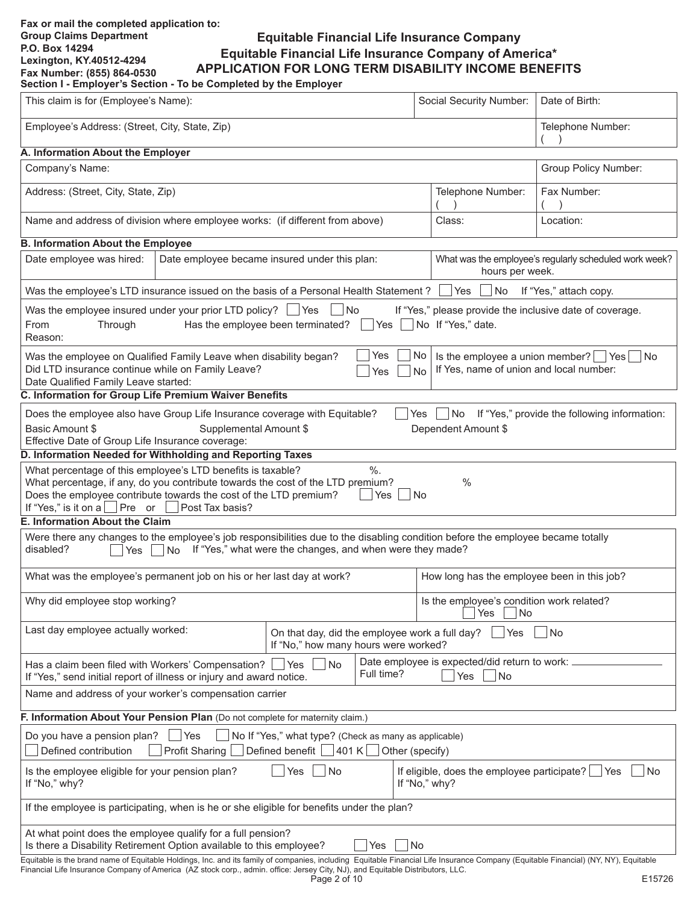### **Fax or mail the completed application to: Group Claims Department P.O. Box 14294 Lexington, KY.40512-4294 Fax Number: (855) 864-0530**

# **Equitable Financial Life Insurance Company Equitable Financial Life Insurance Company of America\* APPLICATION FOR LONG TERM DISABILITY INCOME BENEFITS**

**Section I - Employer's Section - To be Completed by the Employer**

| This claim is for (Employee's Name):                                                                                                                                                                                                                                                                                  |                                                                                           |                                                                                        |                   | Social Security Number:                                                 | Date of Birth:                                         |  |  |  |
|-----------------------------------------------------------------------------------------------------------------------------------------------------------------------------------------------------------------------------------------------------------------------------------------------------------------------|-------------------------------------------------------------------------------------------|----------------------------------------------------------------------------------------|-------------------|-------------------------------------------------------------------------|--------------------------------------------------------|--|--|--|
| Employee's Address: (Street, City, State, Zip)                                                                                                                                                                                                                                                                        |                                                                                           |                                                                                        | Telephone Number: |                                                                         |                                                        |  |  |  |
| A. Information About the Employer                                                                                                                                                                                                                                                                                     |                                                                                           |                                                                                        |                   |                                                                         |                                                        |  |  |  |
| Company's Name:                                                                                                                                                                                                                                                                                                       |                                                                                           |                                                                                        |                   |                                                                         | Group Policy Number:                                   |  |  |  |
| Address: (Street, City, State, Zip)                                                                                                                                                                                                                                                                                   |                                                                                           |                                                                                        |                   | Telephone Number:                                                       | Fax Number:                                            |  |  |  |
| Name and address of division where employee works: (if different from above)                                                                                                                                                                                                                                          |                                                                                           |                                                                                        |                   | Class:                                                                  | Location:                                              |  |  |  |
| <b>B. Information About the Employee</b>                                                                                                                                                                                                                                                                              |                                                                                           |                                                                                        |                   |                                                                         |                                                        |  |  |  |
| Date employee was hired:                                                                                                                                                                                                                                                                                              | Date employee became insured under this plan:                                             |                                                                                        |                   | hours per week.                                                         | What was the employee's regularly scheduled work week? |  |  |  |
| Was the employee's LTD insurance issued on the basis of a Personal Health Statement?                                                                                                                                                                                                                                  |                                                                                           |                                                                                        |                   | Nes In No If "Yes," attach copy.                                        |                                                        |  |  |  |
| Was the employee insured under your prior LTD policy? $\Box$ Yes $\Box$ No<br>From<br>Through<br>Reason:                                                                                                                                                                                                              |                                                                                           | Has the employee been terminated? $\vert$ Yes $\vert$ No If "Yes," date.               |                   | If "Yes," please provide the inclusive date of coverage.                |                                                        |  |  |  |
| Was the employee on Qualified Family Leave when disability began?<br>Did LTD insurance continue while on Family Leave?<br>Date Qualified Family Leave started:                                                                                                                                                        |                                                                                           |                                                                                        | Yes<br>Yes        | No <sub>1</sub><br>If Yes, name of union and local number:<br><b>No</b> | Is the employee a union member? $\Box$ Yes $\Box$ No   |  |  |  |
| C. Information for Group Life Premium Waiver Benefits                                                                                                                                                                                                                                                                 |                                                                                           |                                                                                        |                   |                                                                         |                                                        |  |  |  |
| Does the employee also have Group Life Insurance coverage with Equitable?<br>Basic Amount \$<br>Effective Date of Group Life Insurance coverage:                                                                                                                                                                      | Supplemental Amount \$                                                                    |                                                                                        | l Yes             | Dependent Amount \$                                                     | No If "Yes," provide the following information:        |  |  |  |
| D. Information Needed for Withholding and Reporting Taxes                                                                                                                                                                                                                                                             |                                                                                           |                                                                                        |                   |                                                                         |                                                        |  |  |  |
| What percentage of this employee's LTD benefits is taxable?<br>What percentage, if any, do you contribute towards the cost of the LTD premium?<br>Does the employee contribute towards the cost of the LTD premium?<br>If "Yes," is it on a $\Box$ Pre or $\Box$ Post Tax basis?                                      |                                                                                           |                                                                                        | $\%$ .<br>Yes     | $\frac{0}{0}$<br>l No                                                   |                                                        |  |  |  |
| <b>E. Information About the Claim</b>                                                                                                                                                                                                                                                                                 |                                                                                           |                                                                                        |                   |                                                                         |                                                        |  |  |  |
| Were there any changes to the employee's job responsibilities due to the disabling condition before the employee became totally<br>disabled?<br>Yes                                                                                                                                                                   | $\nabla$ No If "Yes," what were the changes, and when were they made?                     |                                                                                        |                   |                                                                         |                                                        |  |  |  |
| What was the employee's permanent job on his or her last day at work?                                                                                                                                                                                                                                                 |                                                                                           |                                                                                        |                   | How long has the employee been in this job?                             |                                                        |  |  |  |
| Why did employee stop working?                                                                                                                                                                                                                                                                                        |                                                                                           |                                                                                        |                   | Is the employee's condition work related?<br>Yes<br>No                  |                                                        |  |  |  |
| Last day employee actually worked:                                                                                                                                                                                                                                                                                    |                                                                                           | On that day, did the employee work a full day?<br>If "No," how many hours were worked? |                   | Yes                                                                     | No                                                     |  |  |  |
| Has a claim been filed with Workers' Compensation?<br>If "Yes," send initial report of illness or injury and award notice.                                                                                                                                                                                            |                                                                                           | No<br>Yes                                                                              | Full time?        | Date employee is expected/did return to work:<br>$ $ No<br>Yes          |                                                        |  |  |  |
| Name and address of your worker's compensation carrier                                                                                                                                                                                                                                                                |                                                                                           |                                                                                        |                   |                                                                         |                                                        |  |  |  |
| F. Information About Your Pension Plan (Do not complete for maternity claim.)                                                                                                                                                                                                                                         |                                                                                           |                                                                                        |                   |                                                                         |                                                        |  |  |  |
| No If "Yes," what type? (Check as many as applicable)<br>Do you have a pension plan?<br>Yes<br>Defined benefit $\Box$ 401 K $\Box$ Other (specify)<br>Defined contribution<br><b>Profit Sharing</b>                                                                                                                   |                                                                                           |                                                                                        |                   |                                                                         |                                                        |  |  |  |
| Is the employee eligible for your pension plan?<br>If "No," why?                                                                                                                                                                                                                                                      |                                                                                           | Yes<br>  No                                                                            |                   | If eligible, does the employee participate? $\Box$ Yes<br>If "No," why? | l No                                                   |  |  |  |
|                                                                                                                                                                                                                                                                                                                       | If the employee is participating, when is he or she eligible for benefits under the plan? |                                                                                        |                   |                                                                         |                                                        |  |  |  |
| At what point does the employee qualify for a full pension?<br>Is there a Disability Retirement Option available to this employee?                                                                                                                                                                                    |                                                                                           |                                                                                        | Yes               | No                                                                      |                                                        |  |  |  |
| Equitable is the brand name of Equitable Holdings, Inc. and its family of companies, including Equitable Financial Life Insurance Company (Equitable Financial) (NY, NY), Equitable<br>Financial Life Insurance Company of America (AZ stock corp., admin. office: Jersey City, NJ), and Equitable Distributors, LLC. |                                                                                           | Page 2 of 10                                                                           |                   |                                                                         | E15726                                                 |  |  |  |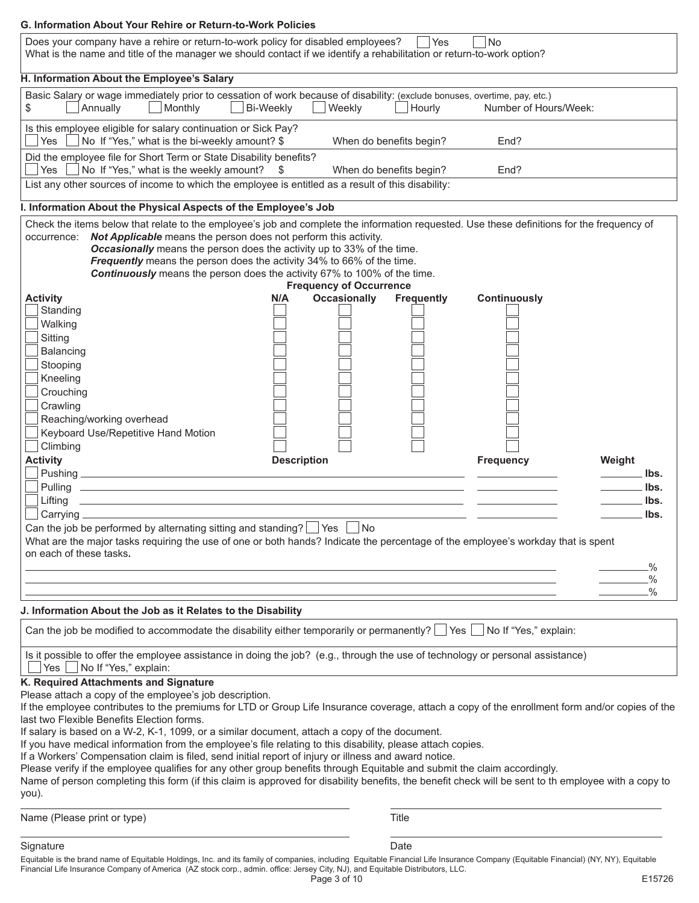| Does your company have a rehire or return-to-work policy for disabled employees?<br>What is the name and title of the manager we should contact if we identify a rehabilitation or return-to-work option?                                                                                                                                                                                                                                                                                         | l Yes<br><b>No</b>                       |
|---------------------------------------------------------------------------------------------------------------------------------------------------------------------------------------------------------------------------------------------------------------------------------------------------------------------------------------------------------------------------------------------------------------------------------------------------------------------------------------------------|------------------------------------------|
| H. Information About the Employee's Salary                                                                                                                                                                                                                                                                                                                                                                                                                                                        |                                          |
| Basic Salary or wage immediately prior to cessation of work because of disability: (exclude bonuses, overtime, pay, etc.)<br>Annually<br>Monthly<br>Bi-Weekly<br>Weekly<br>\$                                                                                                                                                                                                                                                                                                                     | Hourly<br>Number of Hours/Week:          |
| Is this employee eligible for salary continuation or Sick Pay?<br>Yes<br>No If "Yes," what is the bi-weekly amount? \$                                                                                                                                                                                                                                                                                                                                                                            | When do benefits begin?<br>End?          |
| Did the employee file for Short Term or State Disability benefits?<br>No If "Yes," what is the weekly amount?<br>Yes<br>-\$                                                                                                                                                                                                                                                                                                                                                                       | When do benefits begin?<br>End?          |
| List any other sources of income to which the employee is entitled as a result of this disability:                                                                                                                                                                                                                                                                                                                                                                                                |                                          |
| I. Information About the Physical Aspects of the Employee's Job                                                                                                                                                                                                                                                                                                                                                                                                                                   |                                          |
| Check the items below that relate to the employee's job and complete the information requested. Use these definitions for the frequency of<br>occurrence: Not Applicable means the person does not perform this activity.<br><b>Occasionally</b> means the person does the activity up to 33% of the time.<br>Frequently means the person does the activity 34% to 66% of the time.<br>Continuously means the person does the activity 67% to 100% of the time.<br><b>Frequency of Occurrence</b> |                                          |
| <b>Occasionally</b><br><b>Activity</b><br>N/A                                                                                                                                                                                                                                                                                                                                                                                                                                                     | <b>Continuously</b><br><b>Frequently</b> |
| Standing                                                                                                                                                                                                                                                                                                                                                                                                                                                                                          |                                          |
| Walking                                                                                                                                                                                                                                                                                                                                                                                                                                                                                           |                                          |
| Sitting                                                                                                                                                                                                                                                                                                                                                                                                                                                                                           |                                          |
| Balancing                                                                                                                                                                                                                                                                                                                                                                                                                                                                                         |                                          |
|                                                                                                                                                                                                                                                                                                                                                                                                                                                                                                   |                                          |
| Stooping                                                                                                                                                                                                                                                                                                                                                                                                                                                                                          |                                          |
| Kneeling                                                                                                                                                                                                                                                                                                                                                                                                                                                                                          |                                          |
| Crouching                                                                                                                                                                                                                                                                                                                                                                                                                                                                                         |                                          |
| Crawling                                                                                                                                                                                                                                                                                                                                                                                                                                                                                          |                                          |
| Reaching/working overhead                                                                                                                                                                                                                                                                                                                                                                                                                                                                         |                                          |
| Keyboard Use/Repetitive Hand Motion                                                                                                                                                                                                                                                                                                                                                                                                                                                               |                                          |
| Climbing                                                                                                                                                                                                                                                                                                                                                                                                                                                                                          |                                          |
|                                                                                                                                                                                                                                                                                                                                                                                                                                                                                                   |                                          |
| <b>Activity</b><br><b>Description</b>                                                                                                                                                                                                                                                                                                                                                                                                                                                             | <b>Frequency</b><br>Weight               |
|                                                                                                                                                                                                                                                                                                                                                                                                                                                                                                   | lbs.                                     |
|                                                                                                                                                                                                                                                                                                                                                                                                                                                                                                   | . Ibs.                                   |
| <u>and the control of the control of the control of the control of the control of the control of the control of</u><br>Lifting                                                                                                                                                                                                                                                                                                                                                                    | lbs.                                     |
| Carrying $\equiv$                                                                                                                                                                                                                                                                                                                                                                                                                                                                                 |                                          |
|                                                                                                                                                                                                                                                                                                                                                                                                                                                                                                   | lbs.                                     |
|                                                                                                                                                                                                                                                                                                                                                                                                                                                                                                   |                                          |
| Can the job be performed by alternating sitting and standing? $\Box$ Yes<br>  No                                                                                                                                                                                                                                                                                                                                                                                                                  |                                          |
| What are the major tasks requiring the use of one or both hands? Indicate the percentage of the employee's workday that is spent                                                                                                                                                                                                                                                                                                                                                                  |                                          |
| on each of these tasks.                                                                                                                                                                                                                                                                                                                                                                                                                                                                           |                                          |
|                                                                                                                                                                                                                                                                                                                                                                                                                                                                                                   | $\frac{0}{2}$                            |
|                                                                                                                                                                                                                                                                                                                                                                                                                                                                                                   | .%                                       |
|                                                                                                                                                                                                                                                                                                                                                                                                                                                                                                   | $\frac{0}{0}$                            |
|                                                                                                                                                                                                                                                                                                                                                                                                                                                                                                   |                                          |
| J. Information About the Job as it Relates to the Disability                                                                                                                                                                                                                                                                                                                                                                                                                                      |                                          |
| Can the job be modified to accommodate the disability either temporarily or permanently? $\Box$ Yes $\Box$ No If "Yes," explain:                                                                                                                                                                                                                                                                                                                                                                  |                                          |
| Is it possible to offer the employee assistance in doing the job? (e.g., through the use of technology or personal assistance)<br>Yes   No If "Yes," explain:                                                                                                                                                                                                                                                                                                                                     |                                          |
|                                                                                                                                                                                                                                                                                                                                                                                                                                                                                                   |                                          |
| K. Required Attachments and Signature                                                                                                                                                                                                                                                                                                                                                                                                                                                             |                                          |
| Please attach a copy of the employee's job description.                                                                                                                                                                                                                                                                                                                                                                                                                                           |                                          |
| If the employee contributes to the premiums for LTD or Group Life Insurance coverage, attach a copy of the enrollment form and/or copies of the                                                                                                                                                                                                                                                                                                                                                   |                                          |
| last two Flexible Benefits Election forms.                                                                                                                                                                                                                                                                                                                                                                                                                                                        |                                          |
| If salary is based on a W-2, K-1, 1099, or a similar document, attach a copy of the document.                                                                                                                                                                                                                                                                                                                                                                                                     |                                          |
| If you have medical information from the employee's file relating to this disability, please attach copies.                                                                                                                                                                                                                                                                                                                                                                                       |                                          |
| If a Workers' Compensation claim is filed, send initial report of injury or illness and award notice.                                                                                                                                                                                                                                                                                                                                                                                             |                                          |
| Please verify if the employee qualifies for any other group benefits through Equitable and submit the claim accordingly.                                                                                                                                                                                                                                                                                                                                                                          |                                          |
| Name of person completing this form (if this claim is approved for disability benefits, the benefit check will be sent to th employee with a copy to                                                                                                                                                                                                                                                                                                                                              |                                          |
|                                                                                                                                                                                                                                                                                                                                                                                                                                                                                                   |                                          |
| Name (Please print or type)                                                                                                                                                                                                                                                                                                                                                                                                                                                                       | Title                                    |
| you).<br>Signature                                                                                                                                                                                                                                                                                                                                                                                                                                                                                | Date                                     |

Financial Life Insurance Company of America (AZ stock corp., admin. office: Jersey City, NJ), and Equitable Distributors, LLC.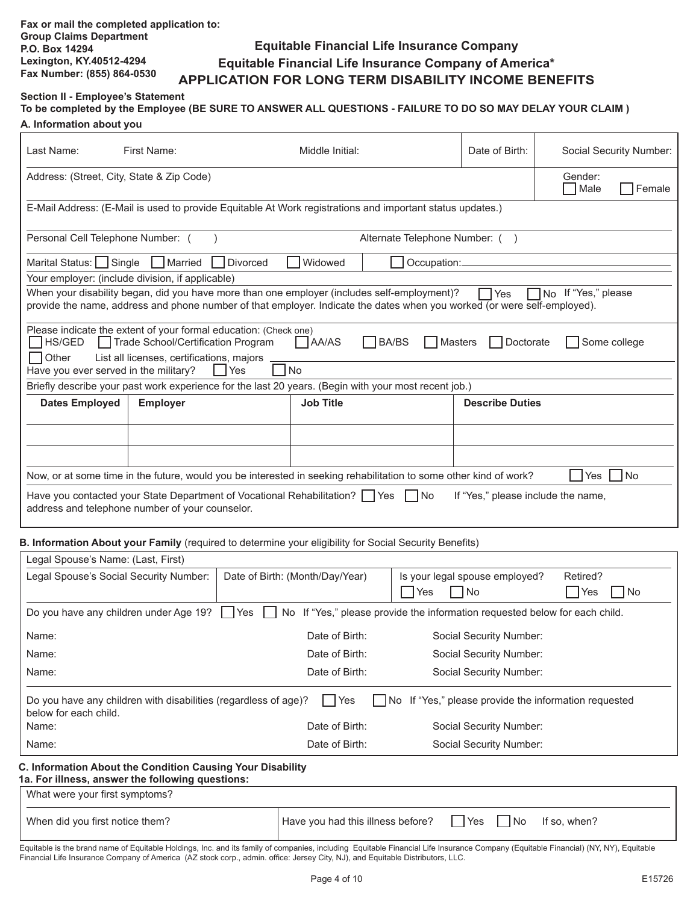## **Equitable Financial Life Insurance Company Equitable Financial Life Insurance Company of America\* APPLICATION FOR LONG TERM DISABILITY INCOME BENEFITS**

# **Section II - Employee's Statement**

| To be completed by the Employee (BE SURE TO ANSWER ALL QUESTIONS - FAILURE TO DO SO MAY DELAY YOUR CLAIM) |  |
|-----------------------------------------------------------------------------------------------------------|--|
| A. Information about you                                                                                  |  |

| Last Name:                                                                                                                       | First Name:                                                                                                                                                                    | Middle Initial:                                                                                                                                                                                                         | Date of Birth:         | Social Security Number: |  |  |  |  |  |
|----------------------------------------------------------------------------------------------------------------------------------|--------------------------------------------------------------------------------------------------------------------------------------------------------------------------------|-------------------------------------------------------------------------------------------------------------------------------------------------------------------------------------------------------------------------|------------------------|-------------------------|--|--|--|--|--|
| Address: (Street, City, State & Zip Code)<br>Gender:<br>Male<br>Female                                                           |                                                                                                                                                                                |                                                                                                                                                                                                                         |                        |                         |  |  |  |  |  |
|                                                                                                                                  | E-Mail Address: (E-Mail is used to provide Equitable At Work registrations and important status updates.)                                                                      |                                                                                                                                                                                                                         |                        |                         |  |  |  |  |  |
| Personal Cell Telephone Number: (                                                                                                |                                                                                                                                                                                | Alternate Telephone Number: ()                                                                                                                                                                                          |                        |                         |  |  |  |  |  |
| Marital Status: Single                                                                                                           | Married<br><b>Divorced</b>                                                                                                                                                     | Widowed<br>Occupation:                                                                                                                                                                                                  |                        |                         |  |  |  |  |  |
|                                                                                                                                  | Your employer: (include division, if applicable)                                                                                                                               |                                                                                                                                                                                                                         |                        |                         |  |  |  |  |  |
|                                                                                                                                  |                                                                                                                                                                                | When your disability began, did you have more than one employer (includes self-employment)?<br>provide the name, address and phone number of that employer. Indicate the dates when you worked (or were self-employed). | Yes                    | No If "Yes," please     |  |  |  |  |  |
| HS/GED<br>Other                                                                                                                  | Please indicate the extent of your formal education: (Check one)<br>Trade School/Certification Program<br>List all licenses, certifications, majors                            | AA/AS<br><b>BA/BS</b><br><b>Masters</b>                                                                                                                                                                                 | Doctorate              | Some college            |  |  |  |  |  |
| Have you ever served in the military?                                                                                            | l Yes                                                                                                                                                                          | l No                                                                                                                                                                                                                    |                        |                         |  |  |  |  |  |
|                                                                                                                                  |                                                                                                                                                                                | Briefly describe your past work experience for the last 20 years. (Begin with your most recent job.)                                                                                                                    |                        |                         |  |  |  |  |  |
| <b>Dates Employed</b>                                                                                                            | <b>Employer</b>                                                                                                                                                                | <b>Job Title</b>                                                                                                                                                                                                        | <b>Describe Duties</b> |                         |  |  |  |  |  |
|                                                                                                                                  |                                                                                                                                                                                |                                                                                                                                                                                                                         |                        |                         |  |  |  |  |  |
|                                                                                                                                  |                                                                                                                                                                                |                                                                                                                                                                                                                         |                        |                         |  |  |  |  |  |
| Now, or at some time in the future, would you be interested in seeking rehabilitation to some other kind of work?<br>l No<br>Yes |                                                                                                                                                                                |                                                                                                                                                                                                                         |                        |                         |  |  |  |  |  |
|                                                                                                                                  | Have you contacted your State Department of Vocational Rehabilitation?   Yes<br>If "Yes," please include the name,<br>l INo<br>address and telephone number of your counselor. |                                                                                                                                                                                                                         |                        |                         |  |  |  |  |  |

#### **B. Information About your Family** (required to determine your eligibility for Social Security Benefits)

| Legal Spouse's Name: (Last, First)                                                                                                                             |                                 |                                                                          |                         |  |  |  |  |
|----------------------------------------------------------------------------------------------------------------------------------------------------------------|---------------------------------|--------------------------------------------------------------------------|-------------------------|--|--|--|--|
| Legal Spouse's Social Security Number:                                                                                                                         | Date of Birth: (Month/Day/Year) | Is your legal spouse employed?<br>Yes<br>  No                            | Retired?<br> Yes<br>No. |  |  |  |  |
| Do you have any children under Age 19?                                                                                                                         | $\bigcap$ Yes<br>No             | If "Yes," please provide the information requested below for each child. |                         |  |  |  |  |
| Name:                                                                                                                                                          | Date of Birth:                  | Social Security Number:                                                  |                         |  |  |  |  |
| Name:                                                                                                                                                          | Date of Birth:                  | Social Security Number:                                                  |                         |  |  |  |  |
| Name:                                                                                                                                                          | Date of Birth:                  | Social Security Number:                                                  |                         |  |  |  |  |
| If "Yes," please provide the information requested<br>Do you have any children with disabilities (regardless of age)?<br>Yes<br>l INo<br>below for each child. |                                 |                                                                          |                         |  |  |  |  |
| Name:                                                                                                                                                          | Date of Birth:                  | Social Security Number:                                                  |                         |  |  |  |  |
| Name:                                                                                                                                                          | Date of Birth:                  | Social Security Number:                                                  |                         |  |  |  |  |
| C. Information About the Condition Causing Your Disability<br>1a. For illness, answer the following questions:                                                 |                                 |                                                                          |                         |  |  |  |  |
| What were your first symptoms?                                                                                                                                 |                                 |                                                                          |                         |  |  |  |  |

| When did you first notice them? | Have you had this illness before? | <b>Yes</b> | l No | If so, when? |
|---------------------------------|-----------------------------------|------------|------|--------------|
|                                 |                                   |            |      |              |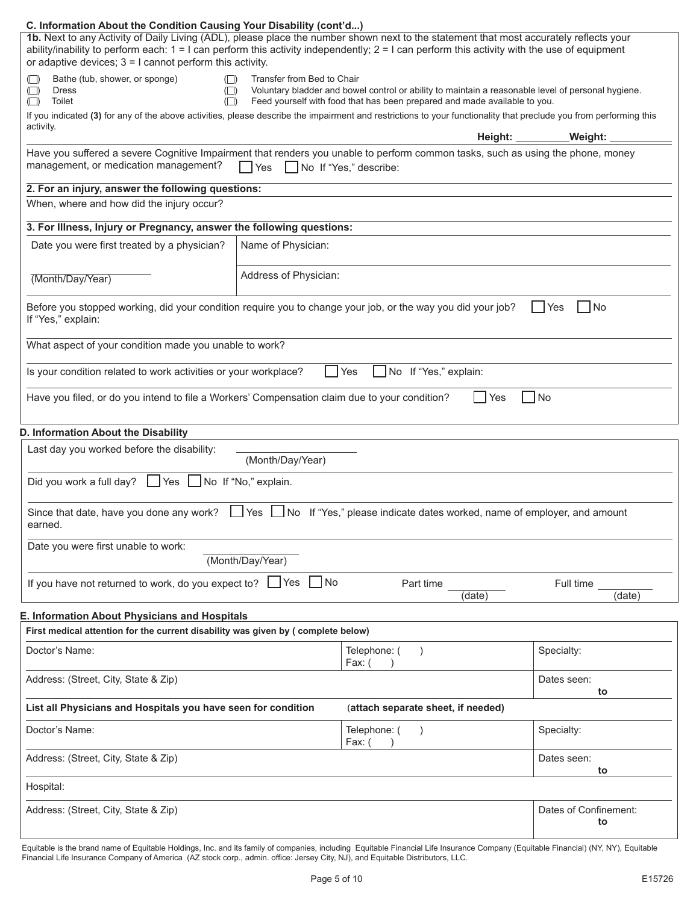### **C. Information About the Condition Causing Your Disability (cont'd...)**

| 1b. Next to any Activity of Daily Living (ADL), please place the number shown next to the statement that most accurately reflects your<br>ability/inability to perform each: $1 = 1$ can perform this activity independently; $2 = 1$ can perform this activity with the use of equipment<br>or adaptive devices; $3 = 1$ cannot perform this activity.                                                                                                                                                                   |                       |                                                                                |                             |  |  |  |  |
|---------------------------------------------------------------------------------------------------------------------------------------------------------------------------------------------------------------------------------------------------------------------------------------------------------------------------------------------------------------------------------------------------------------------------------------------------------------------------------------------------------------------------|-----------------------|--------------------------------------------------------------------------------|-----------------------------|--|--|--|--|
| Bathe (tub, shower, or sponge)<br>Transfer from Bed to Chair<br>$(\Box)$<br>$(\Box)$<br>Voluntary bladder and bowel control or ability to maintain a reasonable level of personal hygiene.<br><b>Dress</b><br>$\Box$<br>$( \Box )$<br>Toilet<br>Feed yourself with food that has been prepared and made available to you.<br>$(\Box)$<br>$( \Box )$<br>If you indicated (3) for any of the above activities, please describe the impairment and restrictions to your functionality that preclude you from performing this |                       |                                                                                |                             |  |  |  |  |
| activity.                                                                                                                                                                                                                                                                                                                                                                                                                                                                                                                 |                       | Height: _______                                                                | _Weight: _                  |  |  |  |  |
| Have you suffered a severe Cognitive Impairment that renders you unable to perform common tasks, such as using the phone, money                                                                                                                                                                                                                                                                                                                                                                                           |                       |                                                                                |                             |  |  |  |  |
| management, or medication management?                                                                                                                                                                                                                                                                                                                                                                                                                                                                                     | <b>P</b> Yes          | No If "Yes," describe:                                                         |                             |  |  |  |  |
| 2. For an injury, answer the following questions:                                                                                                                                                                                                                                                                                                                                                                                                                                                                         |                       |                                                                                |                             |  |  |  |  |
| When, where and how did the injury occur?                                                                                                                                                                                                                                                                                                                                                                                                                                                                                 |                       |                                                                                |                             |  |  |  |  |
| 3. For Illness, Injury or Pregnancy, answer the following questions:                                                                                                                                                                                                                                                                                                                                                                                                                                                      |                       |                                                                                |                             |  |  |  |  |
| Date you were first treated by a physician?                                                                                                                                                                                                                                                                                                                                                                                                                                                                               | Name of Physician:    |                                                                                |                             |  |  |  |  |
| (Month/Day/Year)                                                                                                                                                                                                                                                                                                                                                                                                                                                                                                          | Address of Physician: |                                                                                |                             |  |  |  |  |
| Before you stopped working, did your condition require you to change your job, or the way you did your job?<br>If "Yes," explain:                                                                                                                                                                                                                                                                                                                                                                                         |                       |                                                                                | No<br>Yes                   |  |  |  |  |
| What aspect of your condition made you unable to work?                                                                                                                                                                                                                                                                                                                                                                                                                                                                    |                       |                                                                                |                             |  |  |  |  |
| Is your condition related to work activities or your workplace?                                                                                                                                                                                                                                                                                                                                                                                                                                                           |                       | No If "Yes," explain:<br>Yes                                                   |                             |  |  |  |  |
| Have you filed, or do you intend to file a Workers' Compensation claim due to your condition?                                                                                                                                                                                                                                                                                                                                                                                                                             |                       | Yes                                                                            | <b>No</b>                   |  |  |  |  |
| D. Information About the Disability                                                                                                                                                                                                                                                                                                                                                                                                                                                                                       |                       |                                                                                |                             |  |  |  |  |
| Last day you worked before the disability:                                                                                                                                                                                                                                                                                                                                                                                                                                                                                | (Month/Day/Year)      |                                                                                |                             |  |  |  |  |
| Did you work a full day? $\Box$ Yes $\Box$ No If "No," explain.                                                                                                                                                                                                                                                                                                                                                                                                                                                           |                       |                                                                                |                             |  |  |  |  |
| Since that date, have you done any work?<br>earned.                                                                                                                                                                                                                                                                                                                                                                                                                                                                       |                       | ∐Yes   No If "Yes," please indicate dates worked, name of employer, and amount |                             |  |  |  |  |
| Date you were first unable to work:                                                                                                                                                                                                                                                                                                                                                                                                                                                                                       | (Month/Day/Year)      |                                                                                |                             |  |  |  |  |
| If you have not returned to work, do you expect to? $\Box$ Yes                                                                                                                                                                                                                                                                                                                                                                                                                                                            | No                    | Part time<br>(date)                                                            | Full time<br>(date)         |  |  |  |  |
| <b>E. Information About Physicians and Hospitals</b><br>First medical attention for the current disability was given by (complete below)                                                                                                                                                                                                                                                                                                                                                                                  |                       |                                                                                |                             |  |  |  |  |
| Doctor's Name:                                                                                                                                                                                                                                                                                                                                                                                                                                                                                                            |                       | Telephone: (<br>$\lambda$<br>Fax: (                                            | Specialty:                  |  |  |  |  |
| Address: (Street, City, State & Zip)                                                                                                                                                                                                                                                                                                                                                                                                                                                                                      |                       |                                                                                | Dates seen:<br>to           |  |  |  |  |
| List all Physicians and Hospitals you have seen for condition                                                                                                                                                                                                                                                                                                                                                                                                                                                             |                       | (attach separate sheet, if needed)                                             |                             |  |  |  |  |
| Doctor's Name:                                                                                                                                                                                                                                                                                                                                                                                                                                                                                                            |                       | Telephone: (<br>Fax: (                                                         | Specialty:                  |  |  |  |  |
| Address: (Street, City, State & Zip)                                                                                                                                                                                                                                                                                                                                                                                                                                                                                      |                       |                                                                                | Dates seen:<br>to           |  |  |  |  |
| Hospital:                                                                                                                                                                                                                                                                                                                                                                                                                                                                                                                 |                       |                                                                                |                             |  |  |  |  |
| Address: (Street, City, State & Zip)                                                                                                                                                                                                                                                                                                                                                                                                                                                                                      |                       |                                                                                | Dates of Confinement:<br>to |  |  |  |  |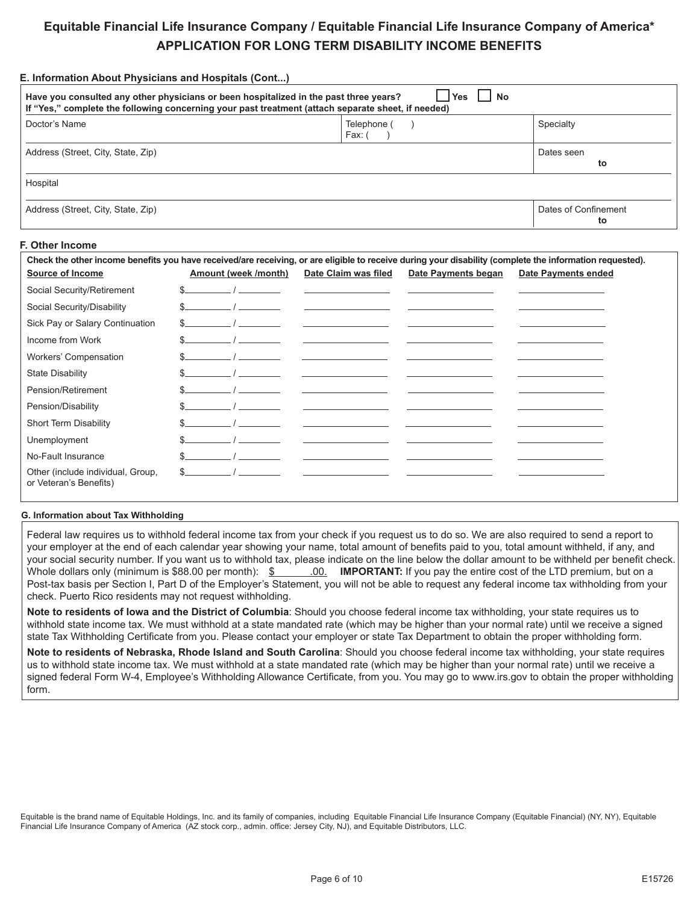# **Equitable Financial Life Insurance Company / Equitable Financial Life Insurance Company of America\* APPLICATION FOR LONG TERM DISABILITY INCOME BENEFITS**

| <b>Yes</b><br>l No<br>Have you consulted any other physicians or been hospitalized in the past three years?<br>If "Yes," complete the following concerning your past treatment (attach separate sheet, if needed) |                       |                            |  |  |  |  |  |
|-------------------------------------------------------------------------------------------------------------------------------------------------------------------------------------------------------------------|-----------------------|----------------------------|--|--|--|--|--|
| Doctor's Name                                                                                                                                                                                                     | Telephone (<br>Fax: ( | Specialty                  |  |  |  |  |  |
| Address (Street, City, State, Zip)                                                                                                                                                                                | Dates seen<br>to      |                            |  |  |  |  |  |
| Hospital                                                                                                                                                                                                          |                       |                            |  |  |  |  |  |
| Address (Street, City, State, Zip)                                                                                                                                                                                |                       | Dates of Confinement<br>to |  |  |  |  |  |

#### **F. Other Income**

**E. Information About Physicians and Hospitals (Cont...)**

| Check the other income benefits you have received/are receiving, or are eligible to receive during your disability (complete the information requested). |  |                                                                                                                                                                                                                                                                                                                                                                                                                                 |                                                                                                                                                                                                                                                                                                                                    |                     |                            |  |  |
|----------------------------------------------------------------------------------------------------------------------------------------------------------|--|---------------------------------------------------------------------------------------------------------------------------------------------------------------------------------------------------------------------------------------------------------------------------------------------------------------------------------------------------------------------------------------------------------------------------------|------------------------------------------------------------------------------------------------------------------------------------------------------------------------------------------------------------------------------------------------------------------------------------------------------------------------------------|---------------------|----------------------------|--|--|
| <b>Source of Income</b>                                                                                                                                  |  | Amount (week /month)                                                                                                                                                                                                                                                                                                                                                                                                            | Date Claim was filed                                                                                                                                                                                                                                                                                                               | Date Payments began | <b>Date Payments ended</b> |  |  |
| Social Security/Retirement                                                                                                                               |  | $\overline{1}$                                                                                                                                                                                                                                                                                                                                                                                                                  | <u> 1990 - Jan Alexandri, politik eta politik eta politik eta politik eta politik eta politik eta politik eta po</u>                                                                                                                                                                                                               |                     |                            |  |  |
| Social Security/Disability                                                                                                                               |  | $\frac{1}{2}$ $\frac{1}{2}$ $\frac{1}{2}$ $\frac{1}{2}$ $\frac{1}{2}$ $\frac{1}{2}$ $\frac{1}{2}$ $\frac{1}{2}$ $\frac{1}{2}$ $\frac{1}{2}$ $\frac{1}{2}$ $\frac{1}{2}$ $\frac{1}{2}$ $\frac{1}{2}$ $\frac{1}{2}$ $\frac{1}{2}$ $\frac{1}{2}$ $\frac{1}{2}$ $\frac{1}{2}$ $\frac{1}{2}$ $\frac{1}{2}$ $\frac{1}{2}$                                                                                                             | <u> La Carlo de la Carlo de la Carlo de la Carlo de la Carlo de la Carlo de la Carlo de la Carlo de la Carlo de l</u>                                                                                                                                                                                                              |                     |                            |  |  |
| Sick Pay or Salary Continuation                                                                                                                          |  | $\frac{1}{\sqrt{1-\frac{1}{2}}}\frac{1}{\sqrt{1-\frac{1}{2}}}\frac{1}{\sqrt{1-\frac{1}{2}}}\frac{1}{\sqrt{1-\frac{1}{2}}}\frac{1}{\sqrt{1-\frac{1}{2}}}\frac{1}{\sqrt{1-\frac{1}{2}}}\frac{1}{\sqrt{1-\frac{1}{2}}}\frac{1}{\sqrt{1-\frac{1}{2}}}\frac{1}{\sqrt{1-\frac{1}{2}}}\frac{1}{\sqrt{1-\frac{1}{2}}}\frac{1}{\sqrt{1-\frac{1}{2}}}\frac{1}{\sqrt{1-\frac{1}{2}}}\frac{1}{\sqrt{1-\frac{1}{2}}}\frac{1}{\sqrt{1-\frac{$ | the contract of the contract of the contract of the contract of the contract of                                                                                                                                                                                                                                                    |                     |                            |  |  |
| Income from Work                                                                                                                                         |  |                                                                                                                                                                                                                                                                                                                                                                                                                                 | the control of the control of the control of                                                                                                                                                                                                                                                                                       |                     |                            |  |  |
| Workers' Compensation                                                                                                                                    |  |                                                                                                                                                                                                                                                                                                                                                                                                                                 | the contract of the contract of the contract of the contract of the contract of                                                                                                                                                                                                                                                    |                     |                            |  |  |
| <b>State Disability</b>                                                                                                                                  |  |                                                                                                                                                                                                                                                                                                                                                                                                                                 | the company of the company of the company of the company of                                                                                                                                                                                                                                                                        |                     |                            |  |  |
| Pension/Retirement                                                                                                                                       |  |                                                                                                                                                                                                                                                                                                                                                                                                                                 |                                                                                                                                                                                                                                                                                                                                    |                     |                            |  |  |
| Pension/Disability                                                                                                                                       |  |                                                                                                                                                                                                                                                                                                                                                                                                                                 |                                                                                                                                                                                                                                                                                                                                    |                     |                            |  |  |
| <b>Short Term Disability</b>                                                                                                                             |  |                                                                                                                                                                                                                                                                                                                                                                                                                                 | $\frac{1}{2}$ $\frac{1}{2}$ $\frac{1}{2}$ $\frac{1}{2}$ $\frac{1}{2}$ $\frac{1}{2}$ $\frac{1}{2}$ $\frac{1}{2}$ $\frac{1}{2}$ $\frac{1}{2}$ $\frac{1}{2}$ $\frac{1}{2}$ $\frac{1}{2}$ $\frac{1}{2}$ $\frac{1}{2}$ $\frac{1}{2}$ $\frac{1}{2}$ $\frac{1}{2}$ $\frac{1}{2}$ $\frac{1}{2}$ $\frac{1}{2}$ $\frac{1}{2}$                |                     |                            |  |  |
| Unemployment                                                                                                                                             |  |                                                                                                                                                                                                                                                                                                                                                                                                                                 |                                                                                                                                                                                                                                                                                                                                    |                     |                            |  |  |
| No-Fault Insurance                                                                                                                                       |  |                                                                                                                                                                                                                                                                                                                                                                                                                                 | $\overline{1}$ and $\overline{1}$ and $\overline{1}$ and $\overline{1}$ and $\overline{1}$ and $\overline{1}$ and $\overline{1}$ and $\overline{1}$ and $\overline{1}$ and $\overline{1}$ and $\overline{1}$ and $\overline{1}$ and $\overline{1}$ and $\overline{1}$ and $\overline{1}$ and $\overline{1}$ and $\overline{1}$ and |                     |                            |  |  |
| Other (include individual, Group,<br>or Veteran's Benefits)                                                                                              |  | $\sim$ $\sim$ $\sim$ $\sim$                                                                                                                                                                                                                                                                                                                                                                                                     |                                                                                                                                                                                                                                                                                                                                    |                     |                            |  |  |

#### **G. Information about Tax Withholding**

Federal law requires us to withhold federal income tax from your check if you request us to do so. We are also required to send a report to your employer at the end of each calendar year showing your name, total amount of benefits paid to you, total amount withheld, if any, and your social security number. If you want us to withhold tax, please indicate on the line below the dollar amount to be withheld per benefit check. Whole dollars only (minimum is \$88.00 per month): \$ .00. **IMPORTANT:** If you pay the entire cost of the LTD premium, but on a Post-tax basis per Section I, Part D of the Employer's Statement, you will not be able to request any federal income tax withholding from your check. Puerto Rico residents may not request withholding.

**Note to residents of Iowa and the District of Columbia**: Should you choose federal income tax withholding, your state requires us to withhold state income tax. We must withhold at a state mandated rate (which may be higher than your normal rate) until we receive a signed state Tax Withholding Certificate from you. Please contact your employer or state Tax Department to obtain the proper withholding form.

**Note to residents of Nebraska, Rhode Island and South Carolina**: Should you choose federal income tax withholding, your state requires us to withhold state income tax. We must withhold at a state mandated rate (which may be higher than your normal rate) until we receive a signed federal Form W-4, Employee's Withholding Allowance Certificate, from you. You may go to www.irs.gov to obtain the proper withholding form.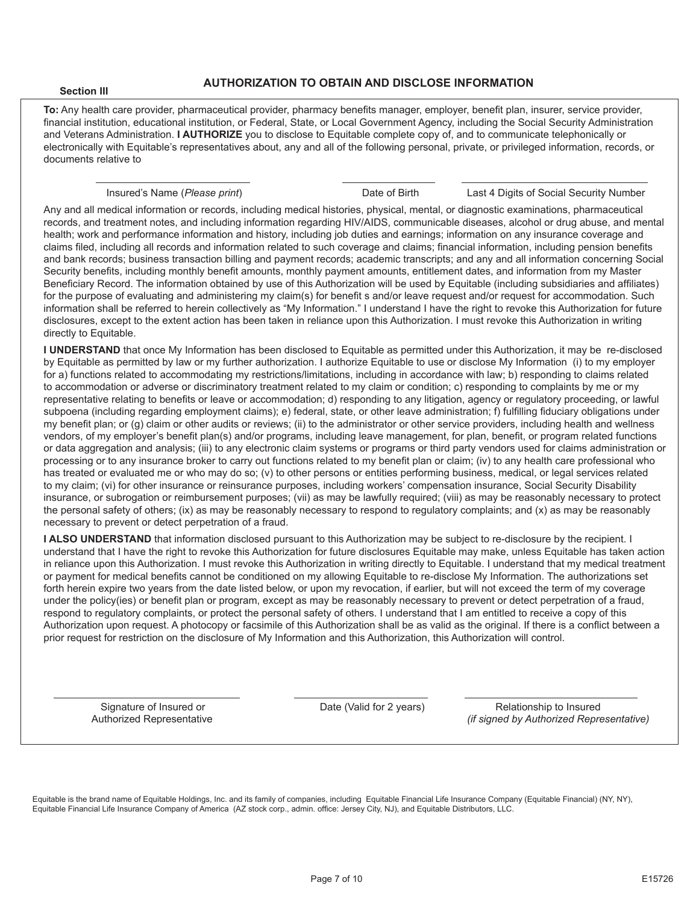#### **Section III**

#### **AUTHORIZATION TO OBTAIN AND DISCLOSE INFORMATION**

**To:** Any health care provider, pharmaceutical provider, pharmacy benefits manager, employer, benefit plan, insurer, service provider, financial institution, educational institution, or Federal, State, or Local Government Agency, including the Social Security Administration and Veterans Administration. **I AUTHORIZE** you to disclose to Equitable complete copy of, and to communicate telephonically or electronically with Equitable's representatives about, any and all of the following personal, private, or privileged information, records, or documents relative to

Insured's Name (*Please print*) Date of Birth Last 4 Digits of Social Security Number

Any and all medical information or records, including medical histories, physical, mental, or diagnostic examinations, pharmaceutical records, and treatment notes, and including information regarding HIV/AIDS, communicable diseases, alcohol or drug abuse, and mental health; work and performance information and history, including job duties and earnings; information on any insurance coverage and claims filed, including all records and information related to such coverage and claims; financial information, including pension benefits and bank records; business transaction billing and payment records; academic transcripts; and any and all information concerning Social Security benefits, including monthly benefit amounts, monthly payment amounts, entitlement dates, and information from my Master Beneficiary Record. The information obtained by use of this Authorization will be used by Equitable (including subsidiaries and affiliates) for the purpose of evaluating and administering my claim(s) for benefit s and/or leave request and/or request for accommodation. Such information shall be referred to herein collectively as "My Information." I understand I have the right to revoke this Authorization for future disclosures, except to the extent action has been taken in reliance upon this Authorization. I must revoke this Authorization in writing directly to Equitable.

**I UNDERSTAND** that once My Information has been disclosed to Equitable as permitted under this Authorization, it may be re-disclosed by Equitable as permitted by law or my further authorization. I authorize Equitable to use or disclose My Information (i) to my employer for a) functions related to accommodating my restrictions/limitations, including in accordance with law; b) responding to claims related to accommodation or adverse or discriminatory treatment related to my claim or condition; c) responding to complaints by me or my representative relating to benefits or leave or accommodation; d) responding to any litigation, agency or regulatory proceeding, or lawful subpoena (including regarding employment claims); e) federal, state, or other leave administration; f) fulfilling fiduciary obligations under my benefit plan; or (g) claim or other audits or reviews; (ii) to the administrator or other service providers, including health and wellness vendors, of my employer's benefit plan(s) and/or programs, including leave management, for plan, benefit, or program related functions or data aggregation and analysis; (iii) to any electronic claim systems or programs or third party vendors used for claims administration or processing or to any insurance broker to carry out functions related to my benefit plan or claim; (iv) to any health care professional who has treated or evaluated me or who may do so; (y) to other persons or entities performing business, medical, or legal services related to my claim; (vi) for other insurance or reinsurance purposes, including workers' compensation insurance, Social Security Disability insurance, or subrogation or reimbursement purposes; (vii) as may be lawfully required; (viii) as may be reasonably necessary to protect the personal safety of others; (ix) as may be reasonably necessary to respond to regulatory complaints; and (x) as may be reasonably necessary to prevent or detect perpetration of a fraud.

**I ALSO UNDERSTAND** that information disclosed pursuant to this Authorization may be subject to re-disclosure by the recipient. I understand that I have the right to revoke this Authorization for future disclosures Equitable may make, unless Equitable has taken action in reliance upon this Authorization. I must revoke this Authorization in writing directly to Equitable. I understand that my medical treatment or payment for medical benefits cannot be conditioned on my allowing Equitable to re-disclose My Information. The authorizations set forth herein expire two years from the date listed below, or upon my revocation, if earlier, but will not exceed the term of my coverage under the policy(ies) or benefit plan or program, except as may be reasonably necessary to prevent or detect perpetration of a fraud, respond to regulatory complaints, or protect the personal safety of others. I understand that I am entitled to receive a copy of this Authorization upon request. A photocopy or facsimile of this Authorization shall be as valid as the original. If there is a conflict between a prior request for restriction on the disclosure of My Information and this Authorization, this Authorization will control.

Signature of Insured or  $\qquad \qquad$  Date (Valid for 2 years) Relationship to Insured Authorized Representative *(if signed by Authorized Representative)*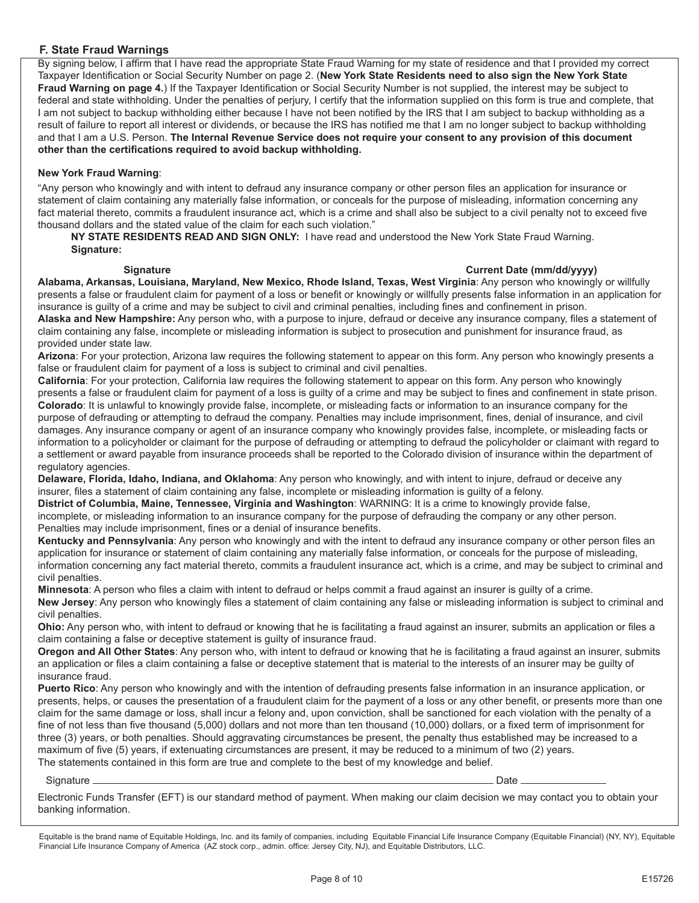### **F. State Fraud Warnings**

By signing below, I affirm that I have read the appropriate State Fraud Warning for my state of residence and that I provided my correct Taxpayer Identification or Social Security Number on page 2. (**New York State Residents need to also sign the New York State Fraud Warning on page 4.**) If the Taxpayer Identification or Social Security Number is not supplied, the interest may be subject to federal and state withholding. Under the penalties of perjury, I certify that the information supplied on this form is true and complete, that I am not subject to backup withholding either because I have not been notified by the IRS that I am subject to backup withholding as a result of failure to report all interest or dividends, or because the IRS has notified me that I am no longer subject to backup withholding and that I am a U.S. Person. **The Internal Revenue Service does not require your consent to any provision of this document other than the certifications required to avoid backup withholding.**

#### **New York Fraud Warning**:

"Any person who knowingly and with intent to defraud any insurance company or other person files an application for insurance or statement of claim containing any materially false information, or conceals for the purpose of misleading, information concerning any fact material thereto, commits a fraudulent insurance act, which is a crime and shall also be subject to a civil penalty not to exceed five thousand dollars and the stated value of the claim for each such violation."

**NY STATE RESIDENTS READ AND SIGN ONLY:** I have read and understood the New York State Fraud Warning. **Signature:**

#### Signature **Current Date (mm/dd/yyyy)**

**Alabama, Arkansas, Louisiana, Maryland, New Mexico, Rhode Island, Texas, West Virginia**: Any person who knowingly or willfully presents a false or fraudulent claim for payment of a loss or benefit or knowingly or willfully presents false information in an application for insurance is guilty of a crime and may be subject to civil and criminal penalties, including fines and confinement in prison. **Alaska and New Hampshire:** Any person who, with a purpose to injure, defraud or deceive any insurance company, files a statement of claim containing any false, incomplete or misleading information is subject to prosecution and punishment for insurance fraud, as provided under state law.

**Arizona**: For your protection, Arizona law requires the following statement to appear on this form. Any person who knowingly presents a false or fraudulent claim for payment of a loss is subject to criminal and civil penalties.

**California**: For your protection, California law requires the following statement to appear on this form. Any person who knowingly presents a false or fraudulent claim for payment of a loss is guilty of a crime and may be subject to fines and confinement in state prison. **Colorado**: It is unlawful to knowingly provide false, incomplete, or misleading facts or information to an insurance company for the purpose of defrauding or attempting to defraud the company. Penalties may include imprisonment, fines, denial of insurance, and civil damages. Any insurance company or agent of an insurance company who knowingly provides false, incomplete, or misleading facts or information to a policyholder or claimant for the purpose of defrauding or attempting to defraud the policyholder or claimant with regard to a settlement or award payable from insurance proceeds shall be reported to the Colorado division of insurance within the department of regulatory agencies.

**Delaware, Florida, Idaho, Indiana, and Oklahoma**: Any person who knowingly, and with intent to injure, defraud or deceive any insurer, files a statement of claim containing any false, incomplete or misleading information is guilty of a felony.

**District of Columbia, Maine, Tennessee, Virginia and Washington**: WARNING: It is a crime to knowingly provide false, incomplete, or misleading information to an insurance company for the purpose of defrauding the company or any other person. Penalties may include imprisonment, fines or a denial of insurance benefits.

**Kentucky and Pennsylvania**: Any person who knowingly and with the intent to defraud any insurance company or other person files an application for insurance or statement of claim containing any materially false information, or conceals for the purpose of misleading, information concerning any fact material thereto, commits a fraudulent insurance act, which is a crime, and may be subject to criminal and civil penalties.

**Minnesota**: A person who files a claim with intent to defraud or helps commit a fraud against an insurer is guilty of a crime. **New Jersey**: Any person who knowingly files a statement of claim containing any false or misleading information is subject to criminal and civil penalties.

**Ohio:** Any person who, with intent to defraud or knowing that he is facilitating a fraud against an insurer, submits an application or files a claim containing a false or deceptive statement is guilty of insurance fraud.

**Oregon and All Other States**: Any person who, with intent to defraud or knowing that he is facilitating a fraud against an insurer, submits an application or files a claim containing a false or deceptive statement that is material to the interests of an insurer may be guilty of insurance fraud.

**Puerto Rico**: Any person who knowingly and with the intention of defrauding presents false information in an insurance application, or presents, helps, or causes the presentation of a fraudulent claim for the payment of a loss or any other benefit, or presents more than one claim for the same damage or loss, shall incur a felony and, upon conviction, shall be sanctioned for each violation with the penalty of a fine of not less than five thousand (5,000) dollars and not more than ten thousand (10,000) dollars, or a fixed term of imprisonment for three (3) years, or both penalties. Should aggravating circumstances be present, the penalty thus established may be increased to a maximum of five (5) years, if extenuating circumstances are present, it may be reduced to a minimum of two (2) years. The statements contained in this form are true and complete to the best of my knowledge and belief.

#### Signature Date

Electronic Funds Transfer (EFT) is our standard method of payment. When making our claim decision we may contact you to obtain your banking information.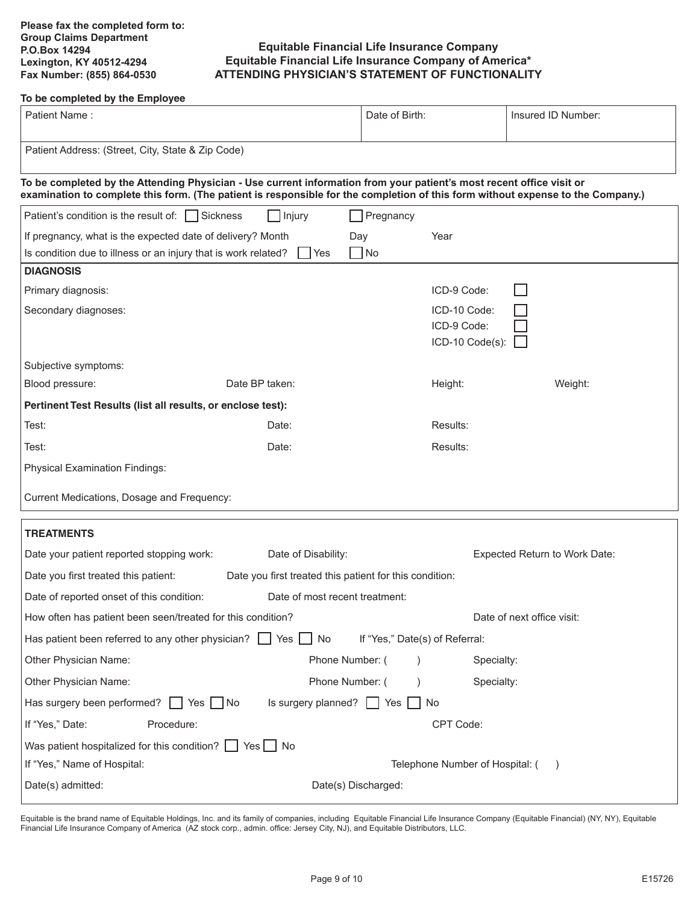### **Equitable Financial Life Insurance Company Equitable Financial Life Insurance Company of America\* ATTENDING PHYSICIAN'S STATEMENT OF FUNCTIONALITY**

#### **To be completed by the Employee**

| Patient Name:<br>Date of Birth:                                                                                                                                                                                                                         |                                                             |                                |                                 | Insured ID Number:            |  |  |  |  |  |
|---------------------------------------------------------------------------------------------------------------------------------------------------------------------------------------------------------------------------------------------------------|-------------------------------------------------------------|--------------------------------|---------------------------------|-------------------------------|--|--|--|--|--|
| Patient Address: (Street, City, State & Zip Code)                                                                                                                                                                                                       |                                                             |                                |                                 |                               |  |  |  |  |  |
| To be completed by the Attending Physician - Use current information from your patient's most recent office visit or<br>examination to complete this form. (The patient is responsible for the completion of this form without expense to the Company.) |                                                             |                                |                                 |                               |  |  |  |  |  |
| Patient's condition is the result of: Sickness                                                                                                                                                                                                          | Injury                                                      | Pregnancy                      |                                 |                               |  |  |  |  |  |
| If pregnancy, what is the expected date of delivery? Month                                                                                                                                                                                              | Day                                                         |                                | Year                            |                               |  |  |  |  |  |
| Is condition due to illness or an injury that is work related?                                                                                                                                                                                          | I Yes                                                       | $\Box$ No                      |                                 |                               |  |  |  |  |  |
| <b>DIAGNOSIS</b>                                                                                                                                                                                                                                        |                                                             |                                |                                 |                               |  |  |  |  |  |
| Primary diagnosis:                                                                                                                                                                                                                                      |                                                             |                                | ICD-9 Code:                     |                               |  |  |  |  |  |
| Secondary diagnoses:                                                                                                                                                                                                                                    |                                                             |                                | ICD-10 Code:                    |                               |  |  |  |  |  |
|                                                                                                                                                                                                                                                         |                                                             |                                | ICD-9 Code:                     |                               |  |  |  |  |  |
|                                                                                                                                                                                                                                                         |                                                             |                                | ICD-10 Code(s):                 |                               |  |  |  |  |  |
| Subjective symptoms:                                                                                                                                                                                                                                    |                                                             |                                |                                 |                               |  |  |  |  |  |
| Date BP taken:<br>Blood pressure:                                                                                                                                                                                                                       |                                                             |                                | Height:                         | Weight:                       |  |  |  |  |  |
|                                                                                                                                                                                                                                                         | Pertinent Test Results (list all results, or enclose test): |                                |                                 |                               |  |  |  |  |  |
| Test:                                                                                                                                                                                                                                                   | Date:                                                       |                                | Results:                        |                               |  |  |  |  |  |
| Test:                                                                                                                                                                                                                                                   | Date:                                                       |                                | Results:                        |                               |  |  |  |  |  |
| <b>Physical Examination Findings:</b>                                                                                                                                                                                                                   |                                                             |                                |                                 |                               |  |  |  |  |  |
| Current Medications, Dosage and Frequency:                                                                                                                                                                                                              |                                                             |                                |                                 |                               |  |  |  |  |  |
|                                                                                                                                                                                                                                                         |                                                             |                                |                                 |                               |  |  |  |  |  |
| <b>TREATMENTS</b>                                                                                                                                                                                                                                       |                                                             |                                |                                 |                               |  |  |  |  |  |
| Date your patient reported stopping work:                                                                                                                                                                                                               | Date of Disability:                                         |                                |                                 | Expected Return to Work Date: |  |  |  |  |  |
| Date you first treated this patient:                                                                                                                                                                                                                    | Date you first treated this patient for this condition:     |                                |                                 |                               |  |  |  |  |  |
| Date of reported onset of this condition:                                                                                                                                                                                                               | Date of most recent treatment:                              |                                |                                 |                               |  |  |  |  |  |
| How often has patient been seen/treated for this condition?                                                                                                                                                                                             |                                                             |                                |                                 | Date of next office visit:    |  |  |  |  |  |
| Has patient been referred to any other physician? $\Box$ Yes                                                                                                                                                                                            | No                                                          | If "Yes," Date(s) of Referral: |                                 |                               |  |  |  |  |  |
| Other Physician Name:                                                                                                                                                                                                                                   | Phone Number: (                                             |                                | Specialty:                      |                               |  |  |  |  |  |
| Other Physician Name:                                                                                                                                                                                                                                   | Phone Number: (                                             |                                | Specialty:                      |                               |  |  |  |  |  |
| Has surgery been performed? $\Box$<br>Yes   INo                                                                                                                                                                                                         | Is surgery planned? $\Box$ Yes $\Box$                       |                                | No.                             |                               |  |  |  |  |  |
| If "Yes," Date:<br>Procedure:                                                                                                                                                                                                                           |                                                             |                                | CPT Code:                       |                               |  |  |  |  |  |
| Was patient hospitalized for this condition? $\Box$ Yes $\Box$ No                                                                                                                                                                                       |                                                             |                                |                                 |                               |  |  |  |  |  |
| If "Yes," Name of Hospital:                                                                                                                                                                                                                             |                                                             |                                | Telephone Number of Hospital: ( |                               |  |  |  |  |  |
| Date(s) admitted:                                                                                                                                                                                                                                       | Date(s) Discharged:                                         |                                |                                 |                               |  |  |  |  |  |